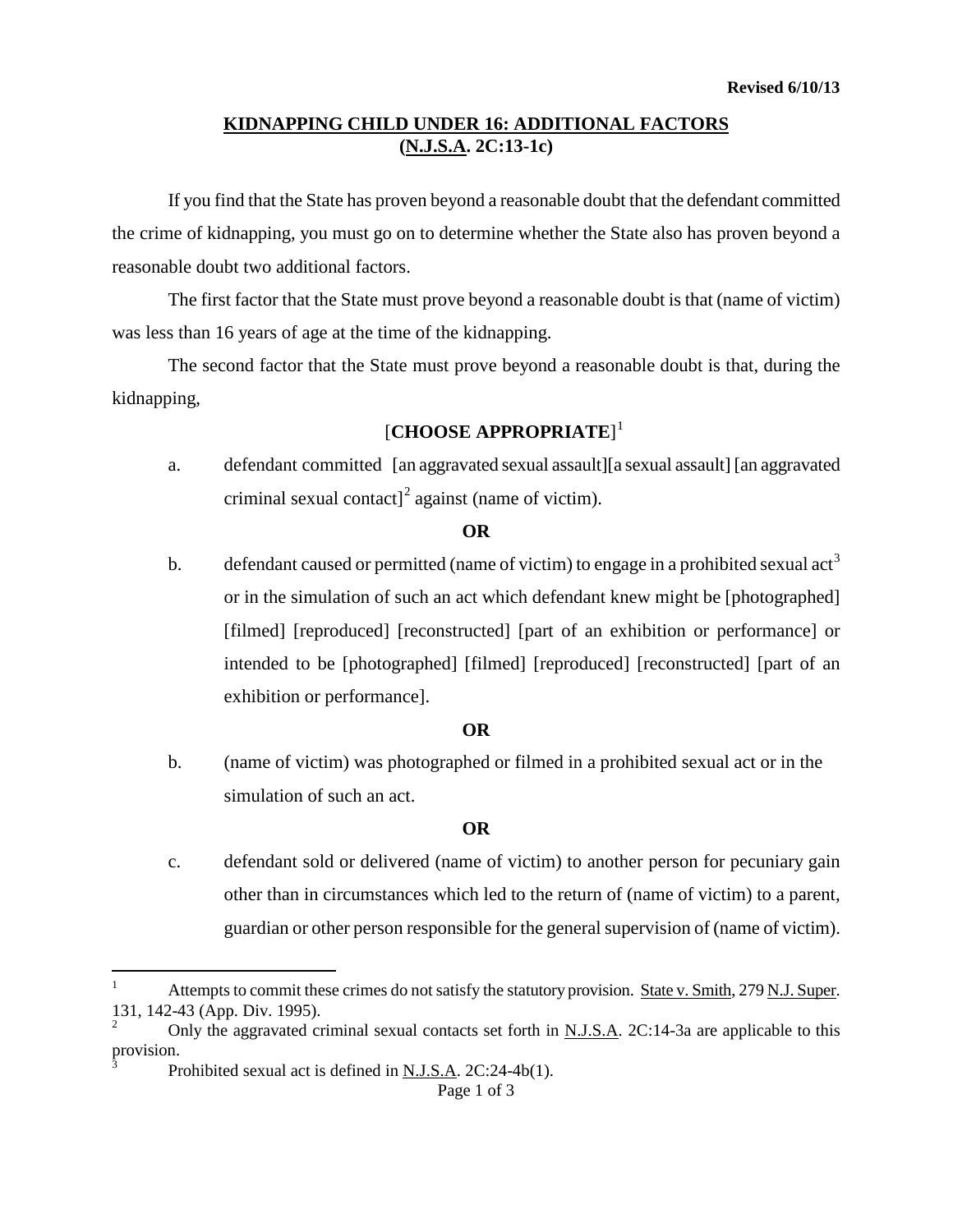## **KIDNAPPING CHILD UNDER 16: ADDITIONAL FACTORS (N.J.S.A. 2C:13-1c)**

If you find that the State has proven beyond a reasonable doubt that the defendant committed the crime of kidnapping, you must go on to determine whether the State also has proven beyond a reasonable doubt two additional factors.

The first factor that the State must prove beyond a reasonable doubt is that (name of victim) was less than 16 years of age at the time of the kidnapping.

The second factor that the State must prove beyond a reasonable doubt is that, during the kidnapping,

# [**CHOOSE APPROPRIATE**] [1](#page-0-0)

a. defendant committed [an aggravated sexual assault][a sexual assault] [an aggravated criminal sexual contact<sup> $\int$ </sup> against (name of victim).

#### **OR**

b. defendant caused or permitted (name of victim) to engage in a prohibited sexual  $\text{act}^3$  $\text{act}^3$ or in the simulation of such an act which defendant knew might be [photographed] [filmed] [reproduced] [reconstructed] [part of an exhibition or performance] or intended to be [photographed] [filmed] [reproduced] [reconstructed] [part of an exhibition or performance].

### **OR**

b. (name of victim) was photographed or filmed in a prohibited sexual act or in the simulation of such an act.

## **OR**

c. defendant sold or delivered (name of victim) to another person for pecuniary gain other than in circumstances which led to the return of (name of victim) to a parent, guardian or other person responsible for the general supervision of (name of victim).

<span id="page-0-0"></span> $\overline{a}$ Attempts to commit these crimes do not satisfy the statutory provision. State v. Smith, 279 N.J. Super. 131, 142-43 (App. Div. 1995).

<span id="page-0-2"></span><span id="page-0-1"></span><sup>2</sup> Only the aggravated criminal sexual contacts set forth in N.J.S.A. 2C:14-3a are applicable to this provision.

Prohibited sexual act is defined in N.J.S.A. 2C:24-4b(1).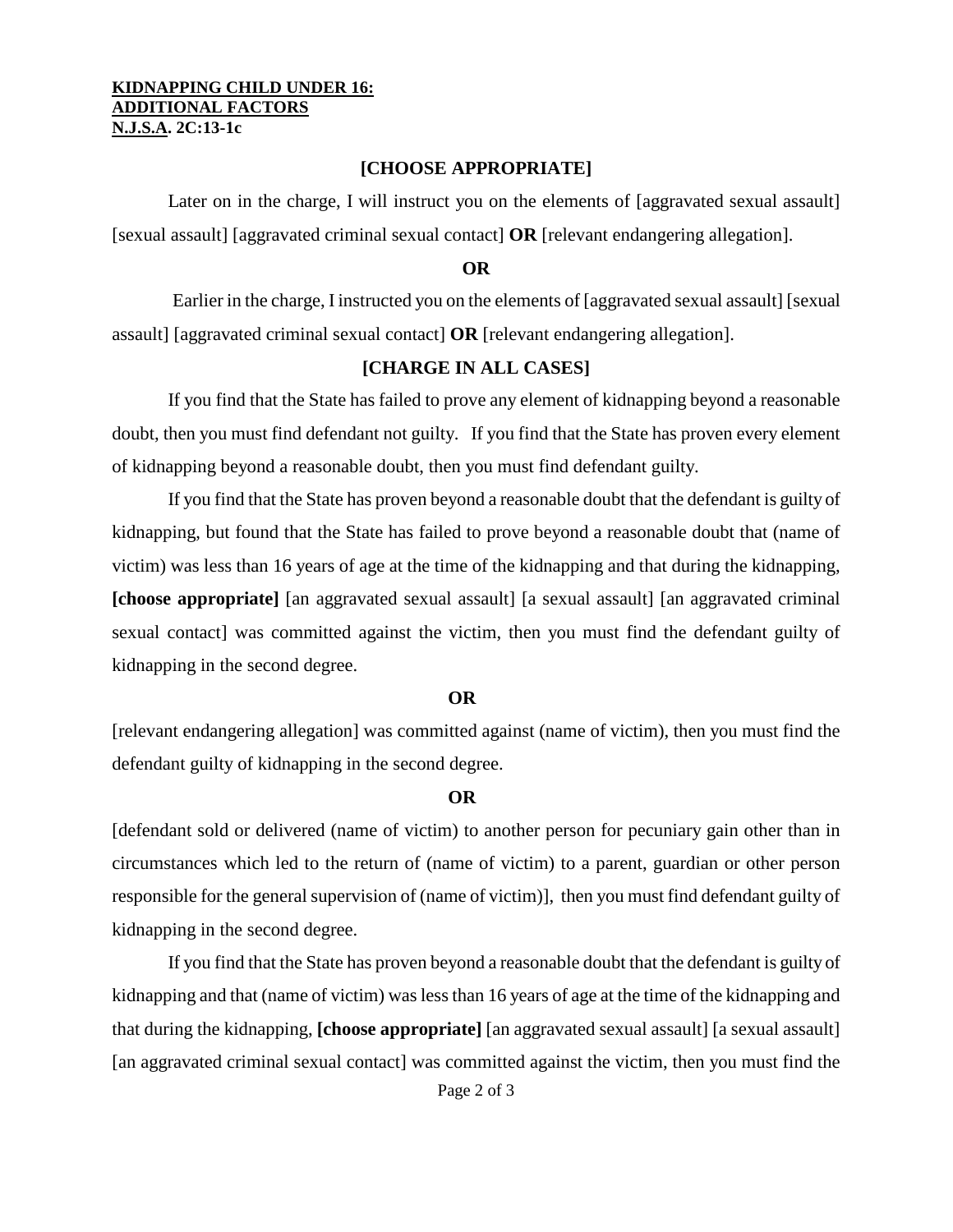#### **KIDNAPPING CHILD UNDER 16: ADDITIONAL FACTORS N.J.S.A. 2C:13-1c**

#### **[CHOOSE APPROPRIATE]**

Later on in the charge, I will instruct you on the elements of [aggravated sexual assault] [sexual assault] [aggravated criminal sexual contact] **OR** [relevant endangering allegation].

### **OR**

Earlier in the charge, I instructed you on the elements of [aggravated sexual assault] [sexual assault] [aggravated criminal sexual contact] **OR** [relevant endangering allegation].

## **[CHARGE IN ALL CASES]**

If you find that the State has failed to prove any element of kidnapping beyond a reasonable doubt, then you must find defendant not guilty. If you find that the State has proven every element of kidnapping beyond a reasonable doubt, then you must find defendant guilty.

If you find that the State has proven beyond a reasonable doubt that the defendant is guilty of kidnapping, but found that the State has failed to prove beyond a reasonable doubt that (name of victim) was less than 16 years of age at the time of the kidnapping and that during the kidnapping, **[choose appropriate]** [an aggravated sexual assault] [a sexual assault] [an aggravated criminal sexual contact] was committed against the victim, then you must find the defendant guilty of kidnapping in the second degree.

#### **OR**

[relevant endangering allegation] was committed against (name of victim), then you must find the defendant guilty of kidnapping in the second degree.

#### **OR**

[defendant sold or delivered (name of victim) to another person for pecuniary gain other than in circumstances which led to the return of (name of victim) to a parent, guardian or other person responsible for the general supervision of (name of victim)], then you must find defendant guilty of kidnapping in the second degree.

If you find that the State has proven beyond a reasonable doubt that the defendant is guilty of kidnapping and that (name of victim) was less than 16 years of age at the time of the kidnapping and that during the kidnapping, **[choose appropriate]** [an aggravated sexual assault] [a sexual assault] [an aggravated criminal sexual contact] was committed against the victim, then you must find the